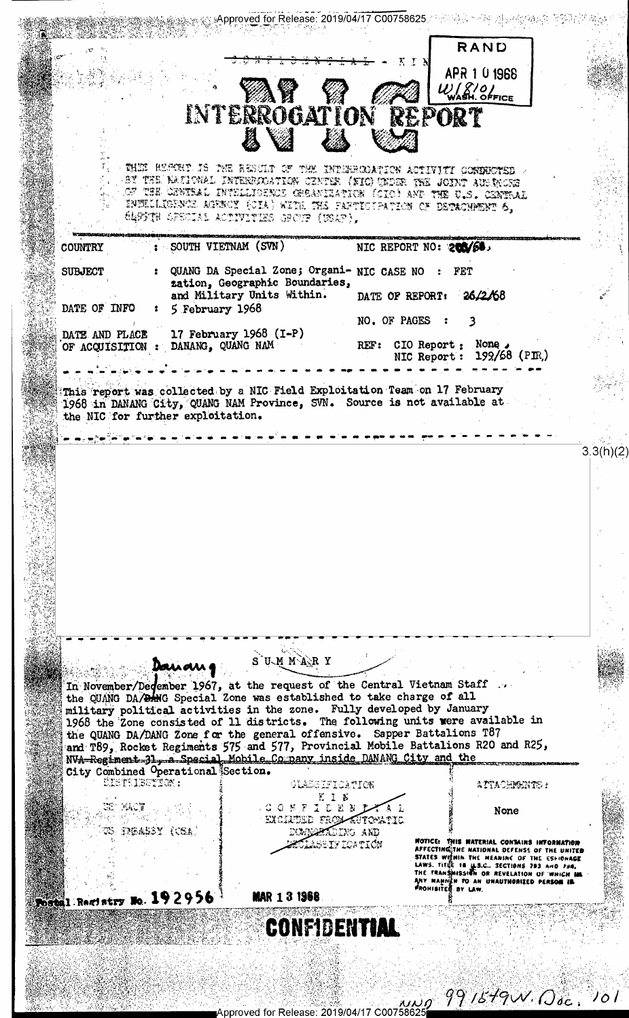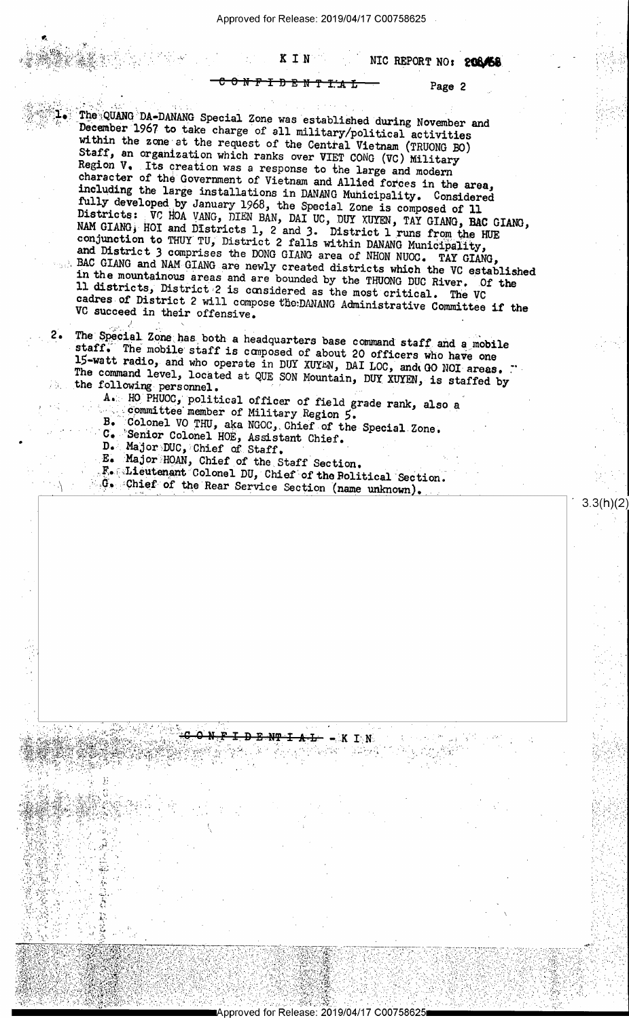Approved for Release: 2019/04/17 C00758625

NIC REPORT NO: 20846

Ŧ ᠊<del>᠐᠄᠗᠂</del>Ň

KIN

Page 2

 $3.3(h)(2)$ 

The QUANG DA-DANANG Special Zone was established during November and December 1967 to take charge of all military/political activities within the zone at the request of the Central Vietnam (TRUONG BO) Staff, an organization which ranks over VIET CONG (VC) Military Region V. Its creation was a response to the large and modern character of the Government of Vietnam and Allied forces in the area, including the large installations in DANANG Municipality. Considered fully developed by January 1968, the Special Zone is composed of 11<br>Districts: VC HOA VANG, DIEN BAN, DAI UC, DUY XUYEN, TAY GIANG, BAC GIANG, NAM GIANG, HOI and Districts 1, 2 and 3. District 1 runs from the HUE conjunction to THUY TU, District 2 falls within DANANG Municipality, and District 3 comprises the DONG GIANG area of NHON NUOC. TAY GIANG, BAC GIANG and NAM GIANG are newly created districts which the VC established in the mountainous areas and are bounded by the THUONG DUC River. Of the 11 districts, District 2 is considered as the most critical. The VC cadres of District 2 will compose the DANANG Administrative Committee if the VC succeed in their offensive.

The Special Zone has both a headquarters base command staff and a mobile staff. The mobile staff is composed of about 20 officers who have one 15-watt radio, and who operate in DUY XUYEN, DAI LOC, and GO NOI areas. The command level, located at QUE SON Mountain, DUY XUYEN, is staffed by the following personnel.

A. HO PHUOC, political officer of field grade rank, also a committee member of Military Region 5.

B. Colonel VO THU, aka NGOC, Chief of the C. Senior Colonel HOE, Assistant Chief. Colonel VO THU, aka NGOC, Chief of the Special Zone.

D. Major DUC, Chief of Staff.

 $2.$ 

E. Major HOAN, Chief of the Staff Section.

F. Lieutenant Colonel DU, Chief of the Bolitical Section. G. Chief of the Rear Service Section (name unknown).

≒Κ.  $\mathbf{I} \cdot \mathbf{N}$